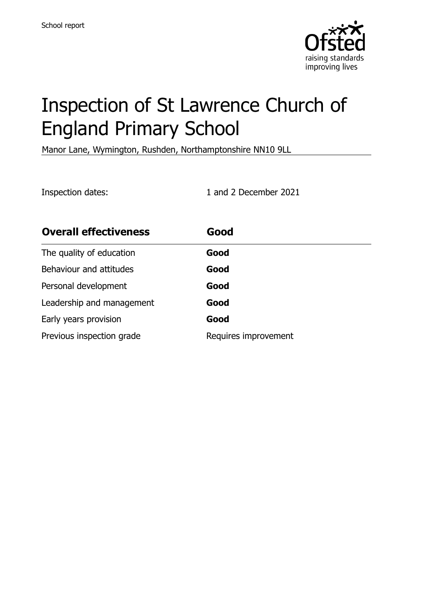

# Inspection of St Lawrence Church of England Primary School

Manor Lane, Wymington, Rushden, Northamptonshire NN10 9LL

Inspection dates: 1 and 2 December 2021

| <b>Overall effectiveness</b> | Good                 |
|------------------------------|----------------------|
| The quality of education     | Good                 |
| Behaviour and attitudes      | Good                 |
| Personal development         | Good                 |
| Leadership and management    | Good                 |
| Early years provision        | Good                 |
| Previous inspection grade    | Requires improvement |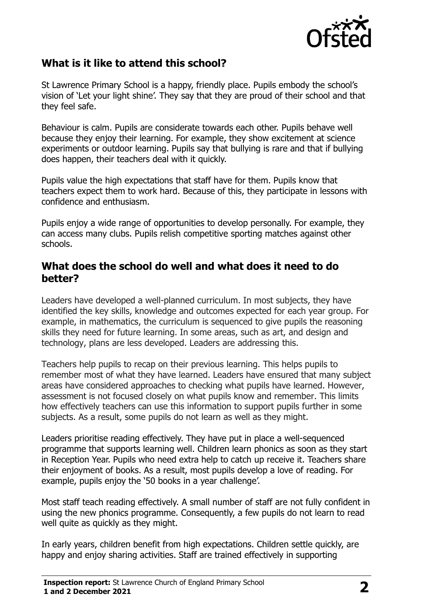

# **What is it like to attend this school?**

St Lawrence Primary School is a happy, friendly place. Pupils embody the school's vision of 'Let your light shine'. They say that they are proud of their school and that they feel safe.

Behaviour is calm. Pupils are considerate towards each other. Pupils behave well because they enjoy their learning. For example, they show excitement at science experiments or outdoor learning. Pupils say that bullying is rare and that if bullying does happen, their teachers deal with it quickly.

Pupils value the high expectations that staff have for them. Pupils know that teachers expect them to work hard. Because of this, they participate in lessons with confidence and enthusiasm.

Pupils enjoy a wide range of opportunities to develop personally. For example, they can access many clubs. Pupils relish competitive sporting matches against other schools.

### **What does the school do well and what does it need to do better?**

Leaders have developed a well-planned curriculum. In most subjects, they have identified the key skills, knowledge and outcomes expected for each year group. For example, in mathematics, the curriculum is sequenced to give pupils the reasoning skills they need for future learning. In some areas, such as art, and design and technology, plans are less developed. Leaders are addressing this.

Teachers help pupils to recap on their previous learning. This helps pupils to remember most of what they have learned. Leaders have ensured that many subject areas have considered approaches to checking what pupils have learned. However, assessment is not focused closely on what pupils know and remember. This limits how effectively teachers can use this information to support pupils further in some subjects. As a result, some pupils do not learn as well as they might.

Leaders prioritise reading effectively. They have put in place a well-sequenced programme that supports learning well. Children learn phonics as soon as they start in Reception Year. Pupils who need extra help to catch up receive it. Teachers share their enjoyment of books. As a result, most pupils develop a love of reading. For example, pupils enjoy the '50 books in a year challenge'.

Most staff teach reading effectively. A small number of staff are not fully confident in using the new phonics programme. Consequently, a few pupils do not learn to read well quite as quickly as they might.

In early years, children benefit from high expectations. Children settle quickly, are happy and enjoy sharing activities. Staff are trained effectively in supporting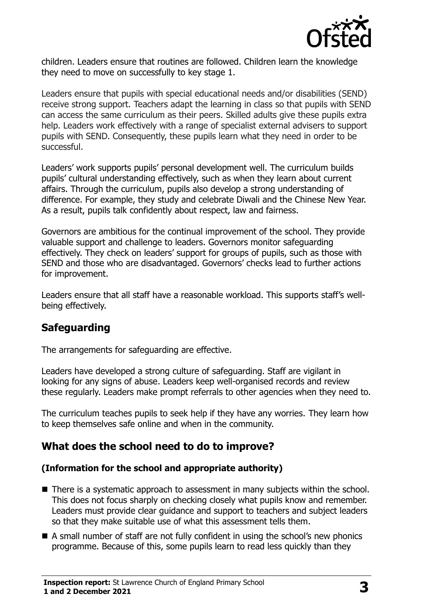

children. Leaders ensure that routines are followed. Children learn the knowledge they need to move on successfully to key stage 1.

Leaders ensure that pupils with special educational needs and/or disabilities (SEND) receive strong support. Teachers adapt the learning in class so that pupils with SEND can access the same curriculum as their peers. Skilled adults give these pupils extra help. Leaders work effectively with a range of specialist external advisers to support pupils with SEND. Consequently, these pupils learn what they need in order to be successful.

Leaders' work supports pupils' personal development well. The curriculum builds pupils' cultural understanding effectively, such as when they learn about current affairs. Through the curriculum, pupils also develop a strong understanding of difference. For example, they study and celebrate Diwali and the Chinese New Year. As a result, pupils talk confidently about respect, law and fairness.

Governors are ambitious for the continual improvement of the school. They provide valuable support and challenge to leaders. Governors monitor safeguarding effectively. They check on leaders' support for groups of pupils, such as those with SEND and those who are disadvantaged. Governors' checks lead to further actions for improvement.

Leaders ensure that all staff have a reasonable workload. This supports staff's wellbeing effectively.

# **Safeguarding**

The arrangements for safeguarding are effective.

Leaders have developed a strong culture of safeguarding. Staff are vigilant in looking for any signs of abuse. Leaders keep well-organised records and review these regularly. Leaders make prompt referrals to other agencies when they need to.

The curriculum teaches pupils to seek help if they have any worries. They learn how to keep themselves safe online and when in the community.

# **What does the school need to do to improve?**

#### **(Information for the school and appropriate authority)**

- There is a systematic approach to assessment in many subjects within the school. This does not focus sharply on checking closely what pupils know and remember. Leaders must provide clear guidance and support to teachers and subject leaders so that they make suitable use of what this assessment tells them.
- A small number of staff are not fully confident in using the school's new phonics programme. Because of this, some pupils learn to read less quickly than they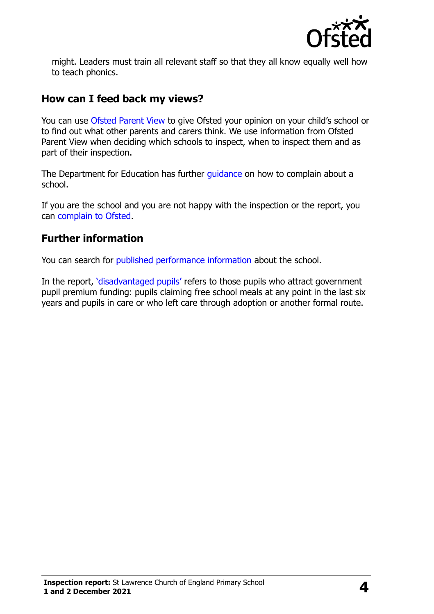

might. Leaders must train all relevant staff so that they all know equally well how to teach phonics.

## **How can I feed back my views?**

You can use [Ofsted Parent View](http://parentview.ofsted.gov.uk/) to give Ofsted your opinion on your child's school or to find out what other parents and carers think. We use information from Ofsted Parent View when deciding which schools to inspect, when to inspect them and as part of their inspection.

The Department for Education has further quidance on how to complain about a school.

If you are the school and you are not happy with the inspection or the report, you can [complain to Ofsted.](http://www.gov.uk/complain-ofsted-report)

# **Further information**

You can search for [published performance information](http://www.compare-school-performance.service.gov.uk/) about the school.

In the report, '[disadvantaged pupils](http://www.gov.uk/guidance/pupil-premium-information-for-schools-and-alternative-provision-settings)' refers to those pupils who attract government pupil premium funding: pupils claiming free school meals at any point in the last six years and pupils in care or who left care through adoption or another formal route.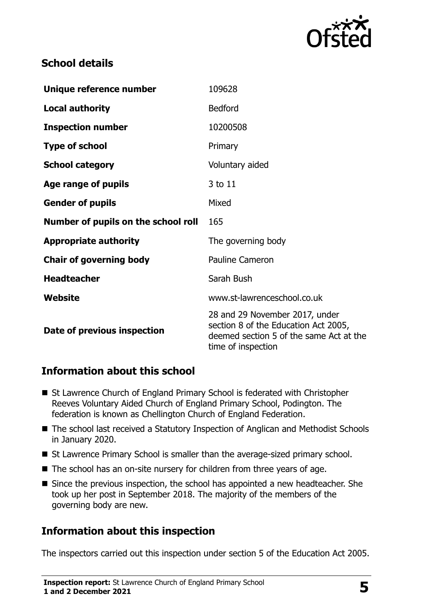

# **School details**

| Unique reference number             | 109628                                                                                                                                  |
|-------------------------------------|-----------------------------------------------------------------------------------------------------------------------------------------|
| <b>Local authority</b>              | <b>Bedford</b>                                                                                                                          |
| <b>Inspection number</b>            | 10200508                                                                                                                                |
| <b>Type of school</b>               | Primary                                                                                                                                 |
| <b>School category</b>              | Voluntary aided                                                                                                                         |
| Age range of pupils                 | 3 to 11                                                                                                                                 |
| <b>Gender of pupils</b>             | Mixed                                                                                                                                   |
| Number of pupils on the school roll | 165                                                                                                                                     |
| <b>Appropriate authority</b>        | The governing body                                                                                                                      |
| <b>Chair of governing body</b>      | <b>Pauline Cameron</b>                                                                                                                  |
| <b>Headteacher</b>                  | Sarah Bush                                                                                                                              |
| Website                             | www.st-lawrenceschool.co.uk                                                                                                             |
| Date of previous inspection         | 28 and 29 November 2017, under<br>section 8 of the Education Act 2005,<br>deemed section 5 of the same Act at the<br>time of inspection |

# **Information about this school**

- St Lawrence Church of England Primary School is federated with Christopher Reeves Voluntary Aided Church of England Primary School, Podington. The federation is known as Chellington Church of England Federation.
- The school last received a Statutory Inspection of Anglican and Methodist Schools in January 2020.
- St Lawrence Primary School is smaller than the average-sized primary school.
- The school has an on-site nursery for children from three years of age.
- Since the previous inspection, the school has appointed a new headteacher. She took up her post in September 2018. The majority of the members of the governing body are new.

# **Information about this inspection**

The inspectors carried out this inspection under section 5 of the Education Act 2005.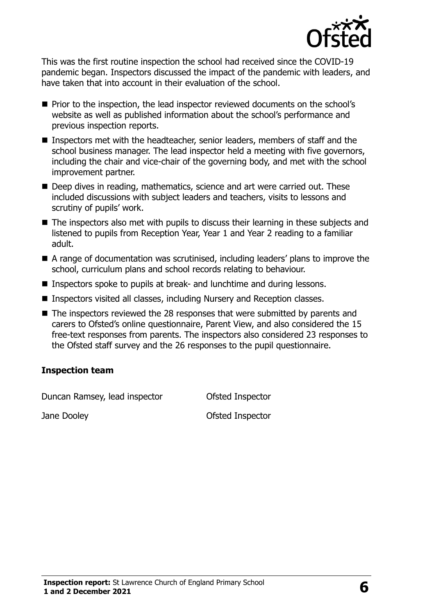

This was the first routine inspection the school had received since the COVID-19 pandemic began. Inspectors discussed the impact of the pandemic with leaders, and have taken that into account in their evaluation of the school.

- **Prior to the inspection, the lead inspector reviewed documents on the school's** website as well as published information about the school's performance and previous inspection reports.
- Inspectors met with the headteacher, senior leaders, members of staff and the school business manager. The lead inspector held a meeting with five governors, including the chair and vice-chair of the governing body, and met with the school improvement partner.
- Deep dives in reading, mathematics, science and art were carried out. These included discussions with subject leaders and teachers, visits to lessons and scrutiny of pupils' work.
- The inspectors also met with pupils to discuss their learning in these subjects and listened to pupils from Reception Year, Year 1 and Year 2 reading to a familiar adult.
- A range of documentation was scrutinised, including leaders' plans to improve the school, curriculum plans and school records relating to behaviour.
- Inspectors spoke to pupils at break- and lunchtime and during lessons.
- Inspectors visited all classes, including Nursery and Reception classes.
- The inspectors reviewed the 28 responses that were submitted by parents and carers to Ofsted's online questionnaire, Parent View, and also considered the 15 free-text responses from parents. The inspectors also considered 23 responses to the Ofsted staff survey and the 26 responses to the pupil questionnaire.

#### **Inspection team**

Duncan Ramsey, lead inspector **Ofsted Inspector** 

Jane Dooley **Districts Ofsted Inspector**